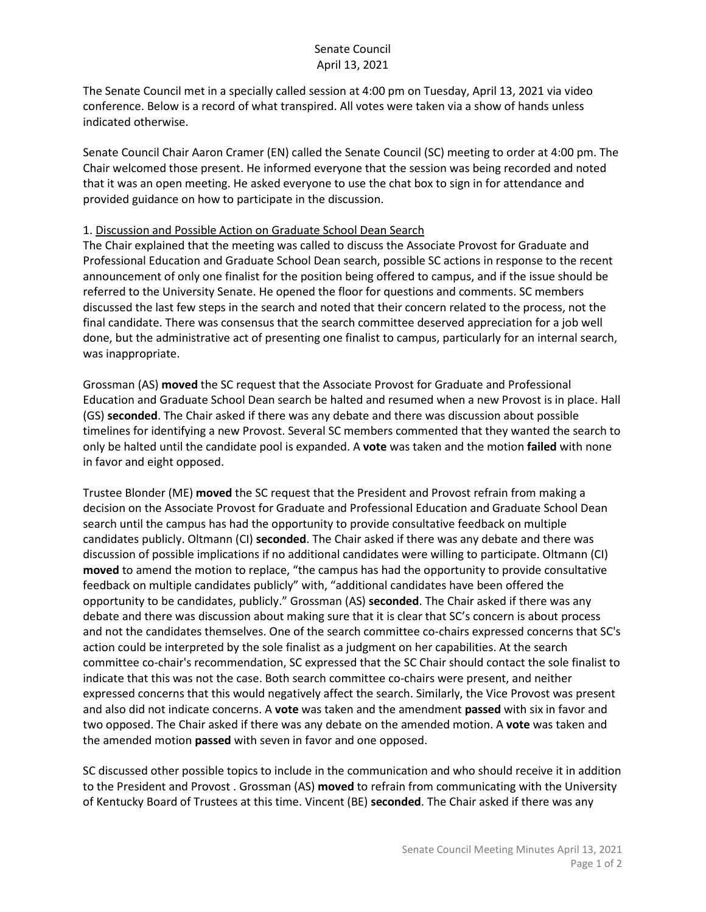## Senate Council April 13, 2021

The Senate Council met in a specially called session at 4:00 pm on Tuesday, April 13, 2021 via video conference. Below is a record of what transpired. All votes were taken via a show of hands unless indicated otherwise.

Senate Council Chair Aaron Cramer (EN) called the Senate Council (SC) meeting to order at 4:00 pm. The Chair welcomed those present. He informed everyone that the session was being recorded and noted that it was an open meeting. He asked everyone to use the chat box to sign in for attendance and provided guidance on how to participate in the discussion.

## 1. Discussion and Possible Action on Graduate School Dean Search

The Chair explained that the meeting was called to discuss the Associate Provost for Graduate and Professional Education and Graduate School Dean search, possible SC actions in response to the recent announcement of only one finalist for the position being offered to campus, and if the issue should be referred to the University Senate. He opened the floor for questions and comments. SC members discussed the last few steps in the search and noted that their concern related to the process, not the final candidate. There was consensus that the search committee deserved appreciation for a job well done, but the administrative act of presenting one finalist to campus, particularly for an internal search, was inappropriate.

Grossman (AS) **moved** the SC request that the Associate Provost for Graduate and Professional Education and Graduate School Dean search be halted and resumed when a new Provost is in place. Hall (GS) **seconded**. The Chair asked if there was any debate and there was discussion about possible timelines for identifying a new Provost. Several SC members commented that they wanted the search to only be halted until the candidate pool is expanded. A **vote** was taken and the motion **failed** with none in favor and eight opposed.

Trustee Blonder (ME) **moved** the SC request that the President and Provost refrain from making a decision on the Associate Provost for Graduate and Professional Education and Graduate School Dean search until the campus has had the opportunity to provide consultative feedback on multiple candidates publicly. Oltmann (CI) **seconded**. The Chair asked if there was any debate and there was discussion of possible implications if no additional candidates were willing to participate. Oltmann (CI) **moved** to amend the motion to replace, "the campus has had the opportunity to provide consultative feedback on multiple candidates publicly" with, "additional candidates have been offered the opportunity to be candidates, publicly." Grossman (AS) **seconded**. The Chair asked if there was any debate and there was discussion about making sure that it is clear that SC's concern is about process and not the candidates themselves. One of the search committee co-chairs expressed concerns that SC's action could be interpreted by the sole finalist as a judgment on her capabilities. At the search committee co-chair's recommendation, SC expressed that the SC Chair should contact the sole finalist to indicate that this was not the case. Both search committee co-chairs were present, and neither expressed concerns that this would negatively affect the search. Similarly, the Vice Provost was present and also did not indicate concerns. A **vote** was taken and the amendment **passed** with six in favor and two opposed. The Chair asked if there was any debate on the amended motion. A **vote** was taken and the amended motion **passed** with seven in favor and one opposed.

SC discussed other possible topics to include in the communication and who should receive it in addition to the President and Provost . Grossman (AS) **moved** to refrain from communicating with the University of Kentucky Board of Trustees at this time. Vincent (BE) **seconded**. The Chair asked if there was any